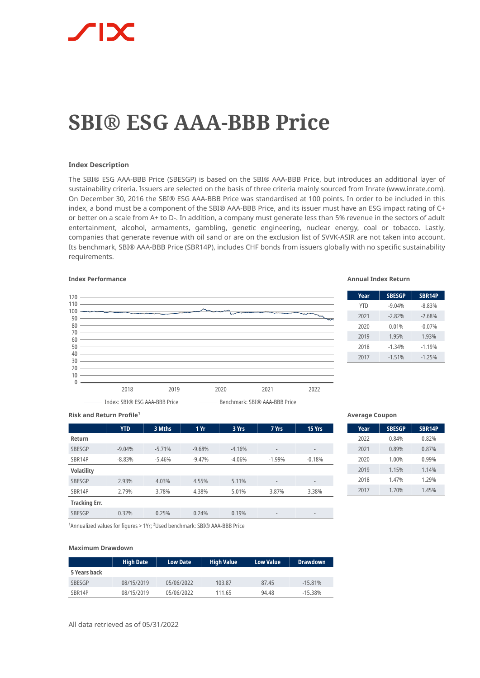

# **SBI® ESG AAA-BBB Price**

### **Index Description**

The SBI® ESG AAA-BBB Price (SBESGP) is based on the SBI® AAA-BBB Price, but introduces an additional layer of sustainability criteria. Issuers are selected on the basis of three criteria mainly sourced from Inrate (www.inrate.com). On December 30, 2016 the SBI® ESG AAA-BBB Price was standardised at 100 points. In order to be included in this index, a bond must be a component of the SBI® AAA-BBB Price, and its issuer must have an ESG impact rating of C+ or better on a scale from A+ to D-. In addition, a company must generate less than 5% revenue in the sectors of adult entertainment, alcohol, armaments, gambling, genetic engineering, nuclear energy, coal or tobacco. Lastly, companies that generate revenue with oil sand or are on the exclusion list of SVVK-ASIR are not taken into account. Its benchmark, SBI® AAA-BBB Price (SBR14P), includes CHF bonds from issuers globally with no specific sustainability requirements.



## **Index Performance Annual Index Return**

| Year       | <b>SBESGP</b> | <b>SBR14P</b> |
|------------|---------------|---------------|
| <b>YTD</b> | $-9.04%$      | $-8.83%$      |
| 2021       | $-2.82%$      | $-2.68%$      |
| 2020       | 0.01%         | $-0.07%$      |
| 2019       | 1.95%         | 1.93%         |
| 2018       | $-1.34%$      | $-1.19%$      |
| 2017       | $-1.51%$      | $-1.25%$      |

**Risk and Return Profile<sup>1</sup>** 

|                      | <b>YTD</b> | 3 Mths   | 1Yr      | 3 Yrs    | 7 Yrs                    | 15 Yrs                   |
|----------------------|------------|----------|----------|----------|--------------------------|--------------------------|
| Return               |            |          |          |          |                          |                          |
| <b>SBESGP</b>        | $-9.04%$   | $-5.71%$ | $-9.68%$ | $-4.16%$ | $\overline{\phantom{a}}$ | $\overline{\phantom{a}}$ |
| SBR14P               | $-8.83%$   | $-5.46%$ | $-9.47%$ | $-4.06%$ | $-1.99%$                 | $-0.18%$                 |
| <b>Volatility</b>    |            |          |          |          |                          |                          |
| <b>SBESGP</b>        | 2.93%      | 4.03%    | 4.55%    | 5.11%    | $\overline{\phantom{a}}$ | $\overline{\phantom{a}}$ |
| SBR14P               | 2.79%      | 3.78%    | 4.38%    | 5.01%    | 3.87%                    | 3.38%                    |
| <b>Tracking Err.</b> |            |          |          |          |                          |                          |
| SBESGP               | 0.32%      | 0.25%    | 0.24%    | 0.19%    | $\overline{\phantom{a}}$ | $\overline{\phantom{a}}$ |

### **Average Coupon**

| Year | <b>SBESGP</b> | <b>SBR14P</b> |
|------|---------------|---------------|
| 2022 | 0.84%         | 0.82%         |
| 2021 | 0.89%         | 0.87%         |
| 2020 | 1.00%         | 0.99%         |
| 2019 | 1.15%         | 1.14%         |
| 2018 | 1.47%         | 1.29%         |
| 2017 | 1.70%         | 1.45%         |

<sup>1</sup> Annualized values for figures > 1Yr; <sup>2</sup> Used benchmark: SBI® AAA-BBB Price

### **Maximum Drawdown**

|               | <b>High Date</b> | <b>Low Date</b> | <b>High Value</b> | <b>Low Value</b> | <b>Drawdown</b> |
|---------------|------------------|-----------------|-------------------|------------------|-----------------|
| 5 Years back  |                  |                 |                   |                  |                 |
| <b>SBESGP</b> | 08/15/2019       | 05/06/2022      | 103.87            | 87.45            | $-15.81%$       |
| SBR14P        | 08/15/2019       | 05/06/2022      | 111.65            | 94.48            | $-15.38\%$      |

All data retrieved as of 05/31/2022